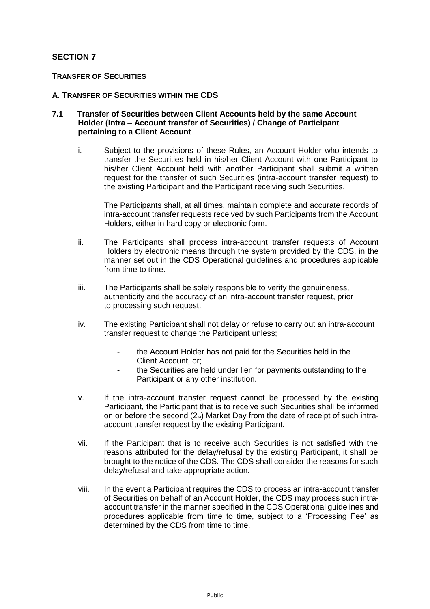# **SECTION 7**

# **TRANSFER OF SECURITIES**

## **A. TRANSFER OF SECURITIES WITHIN THE CDS**

## **7.1 Transfer of Securities between Client Accounts held by the same Account Holder (Intra – Account transfer of Securities) / Change of Participant pertaining to a Client Account**

i. Subject to the provisions of these Rules, an Account Holder who intends to transfer the Securities held in his/her Client Account with one Participant to his/her Client Account held with another Participant shall submit a written request for the transfer of such Securities (intra-account transfer request) to the existing Participant and the Participant receiving such Securities.

The Participants shall, at all times, maintain complete and accurate records of intra-account transfer requests received by such Participants from the Account Holders, either in hard copy or electronic form.

- ii. The Participants shall process intra-account transfer requests of Account Holders by electronic means through the system provided by the CDS, in the manner set out in the CDS Operational guidelines and procedures applicable from time to time.
- iii. The Participants shall be solely responsible to verify the genuineness, authenticity and the accuracy of an intra-account transfer request, prior to processing such request.
- iv. The existing Participant shall not delay or refuse to carry out an intra-account transfer request to change the Participant unless;
	- the Account Holder has not paid for the Securities held in the Client Account, or;
	- the Securities are held under lien for payments outstanding to the Participant or any other institution.
- v. If the intra-account transfer request cannot be processed by the existing Participant, the Participant that is to receive such Securities shall be informed on or before the second  $(2_{nd})$  Market Day from the date of receipt of such intraaccount transfer request by the existing Participant.
- vii. If the Participant that is to receive such Securities is not satisfied with the reasons attributed for the delay/refusal by the existing Participant, it shall be brought to the notice of the CDS. The CDS shall consider the reasons for such delay/refusal and take appropriate action.
- viii. In the event a Participant requires the CDS to process an intra-account transfer of Securities on behalf of an Account Holder, the CDS may process such intraaccount transfer in the manner specified in the CDS Operational guidelines and procedures applicable from time to time, subject to a 'Processing Fee' as determined by the CDS from time to time.